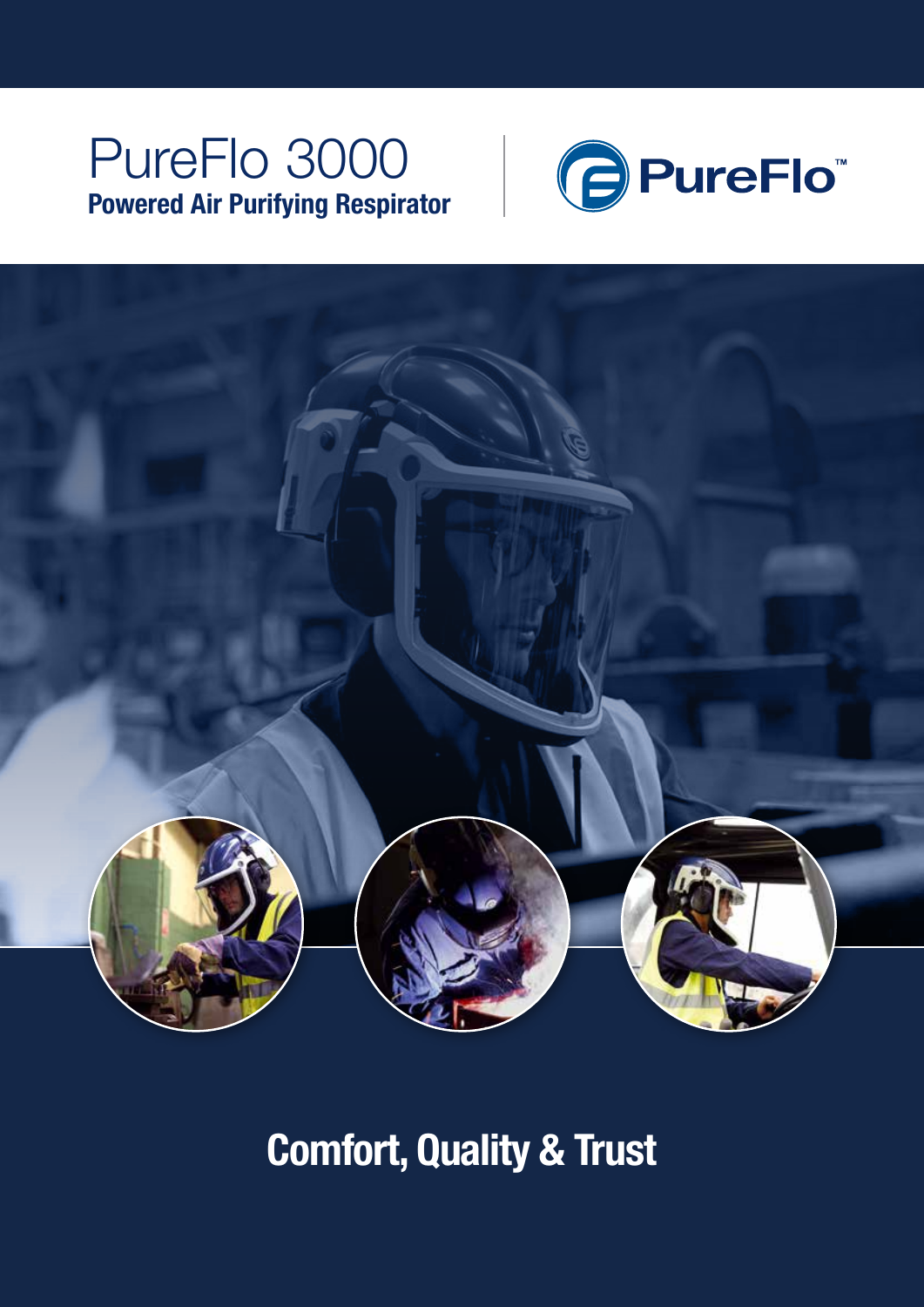## PureFlo 3000 Powered Air Purifying Respirator





Comfort, Quality & Trust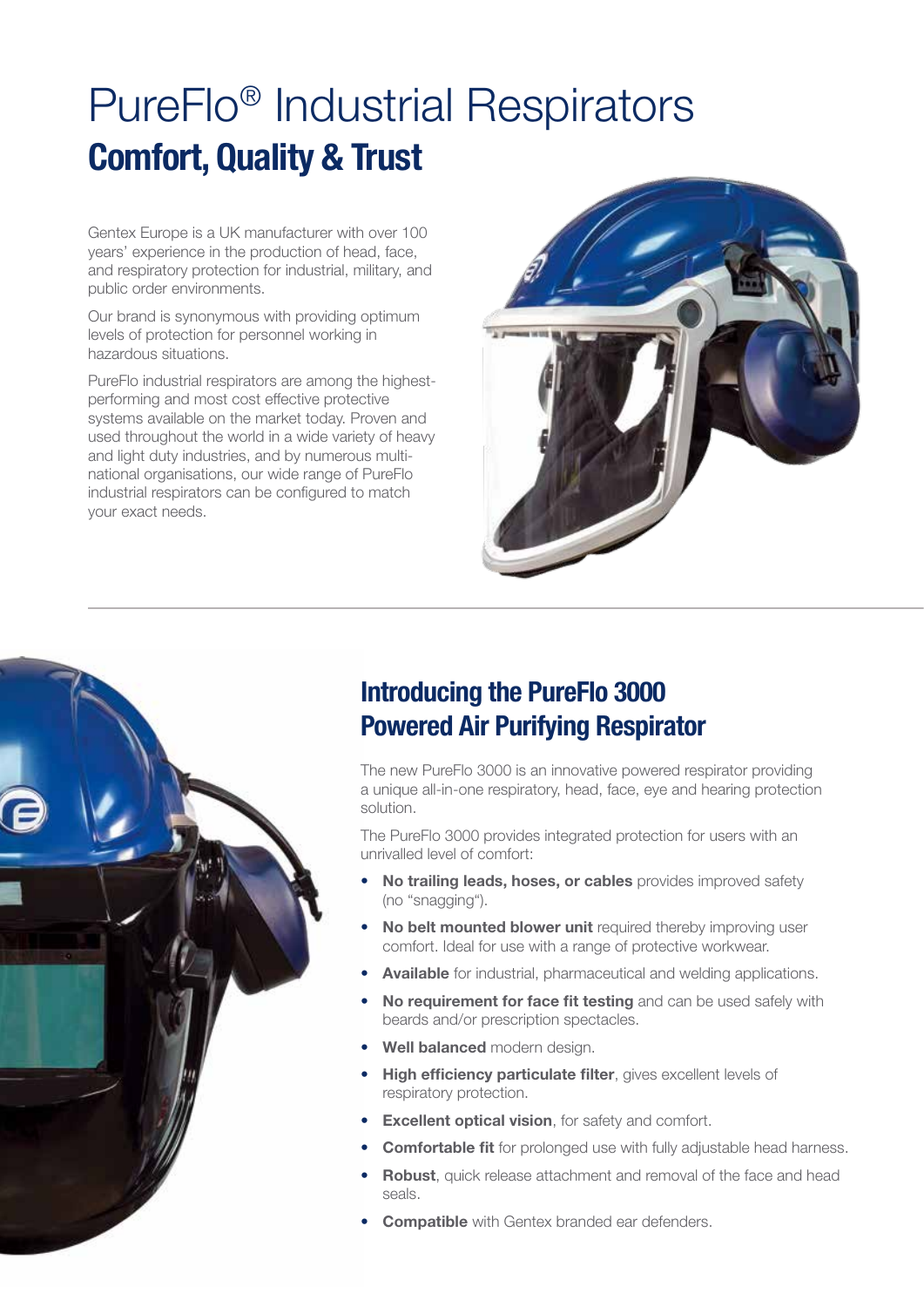# PureFlo® Industrial Respirators Comfort, Quality & Trust

Gentex Europe is a UK manufacturer with over 100 years' experience in the production of head, face, and respiratory protection for industrial, military, and public order environments.

Our brand is synonymous with providing optimum levels of protection for personnel working in hazardous situations.

PureFlo industrial respirators are among the highestperforming and most cost effective protective systems available on the market today. Proven and used throughout the world in a wide variety of heavy and light duty industries, and by numerous multinational organisations, our wide range of PureFlo industrial respirators can be configured to match your exact needs.





### Introducing the PureFlo 3000 Powered Air Purifying Respirator

The new PureFlo 3000 is an innovative powered respirator providing a unique all-in-one respiratory, head, face, eye and hearing protection solution.

The PureFlo 3000 provides integrated protection for users with an unrivalled level of comfort:

- No trailing leads, hoses, or cables provides improved safety (no "snagging").
- **No belt mounted blower unit** required thereby improving user comfort. Ideal for use with a range of protective workwear.
- **Available** for industrial, pharmaceutical and welding applications.
- **No requirement for face fit testing** and can be used safely with beards and/or prescription spectacles.
- Well balanced modern design.
- High efficiency particulate filter, gives excellent levels of respiratory protection.
- Excellent optical vision, for safety and comfort.
- **Comfortable fit** for prolonged use with fully adjustable head harness.
- **Robust**, quick release attachment and removal of the face and head seals.
- **Compatible** with Gentex branded ear defenders.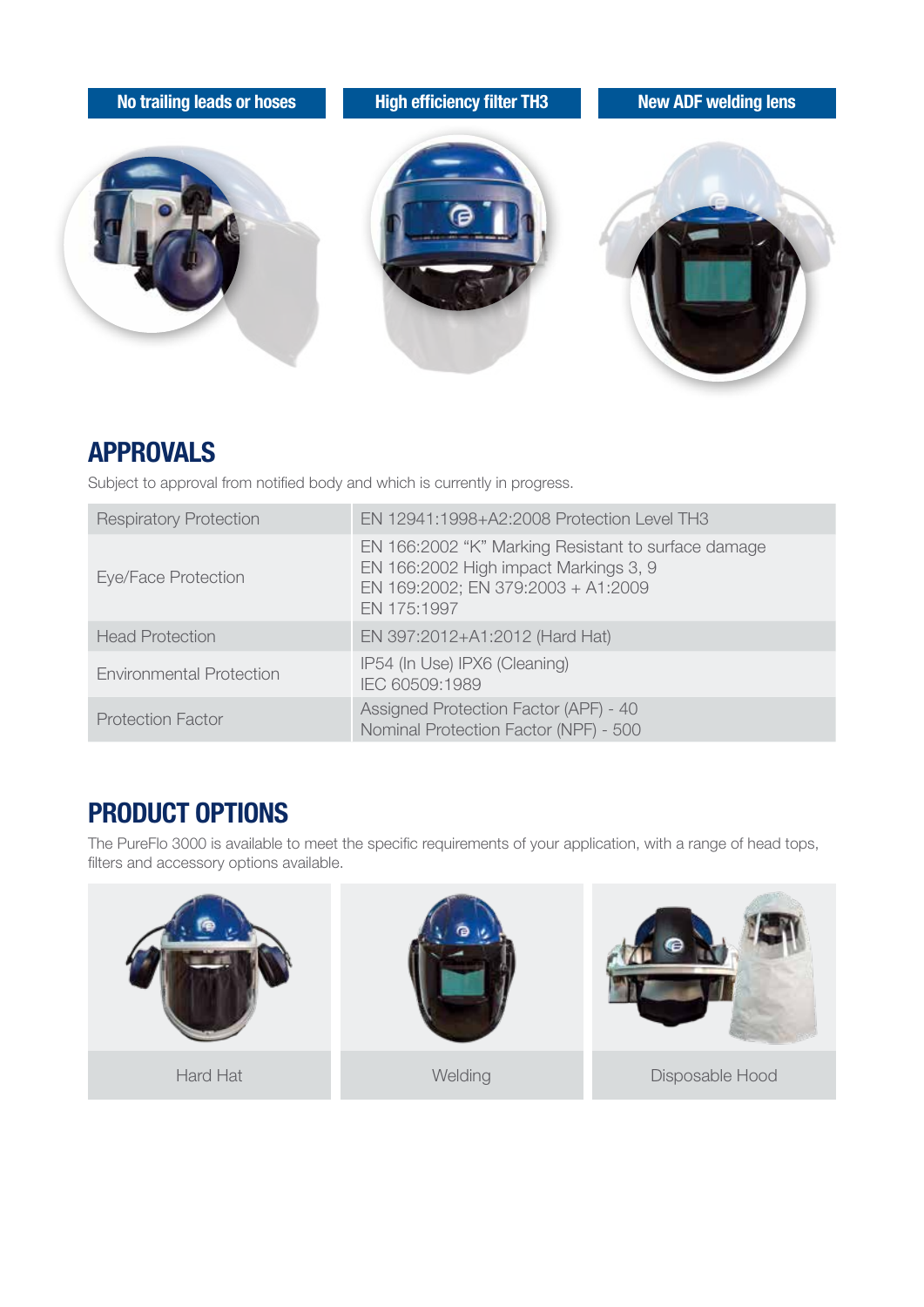

#### APPROVALS

Subject to approval from notified body and which is currently in progress.

| <b>Respiratory Protection</b>   | EN 12941:1998+A2:2008 Protection Level TH3                                                                                                        |
|---------------------------------|---------------------------------------------------------------------------------------------------------------------------------------------------|
| Eye/Face Protection             | EN 166:2002 "K" Marking Resistant to surface damage<br>EN 166:2002 High impact Markings 3, 9<br>EN 169:2002; EN 379:2003 + A1:2009<br>EN 175:1997 |
| <b>Head Protection</b>          | EN 397:2012+A1:2012 (Hard Hat)                                                                                                                    |
| <b>Environmental Protection</b> | IP54 (In Use) IPX6 (Cleaning)<br>IEC 60509:1989                                                                                                   |
| <b>Protection Factor</b>        | Assigned Protection Factor (APF) - 40<br>Nominal Protection Factor (NPF) - 500                                                                    |

### PRODUCT OPTIONS

The PureFlo 3000 is available to meet the specific requirements of your application, with a range of head tops, filters and accessory options available.